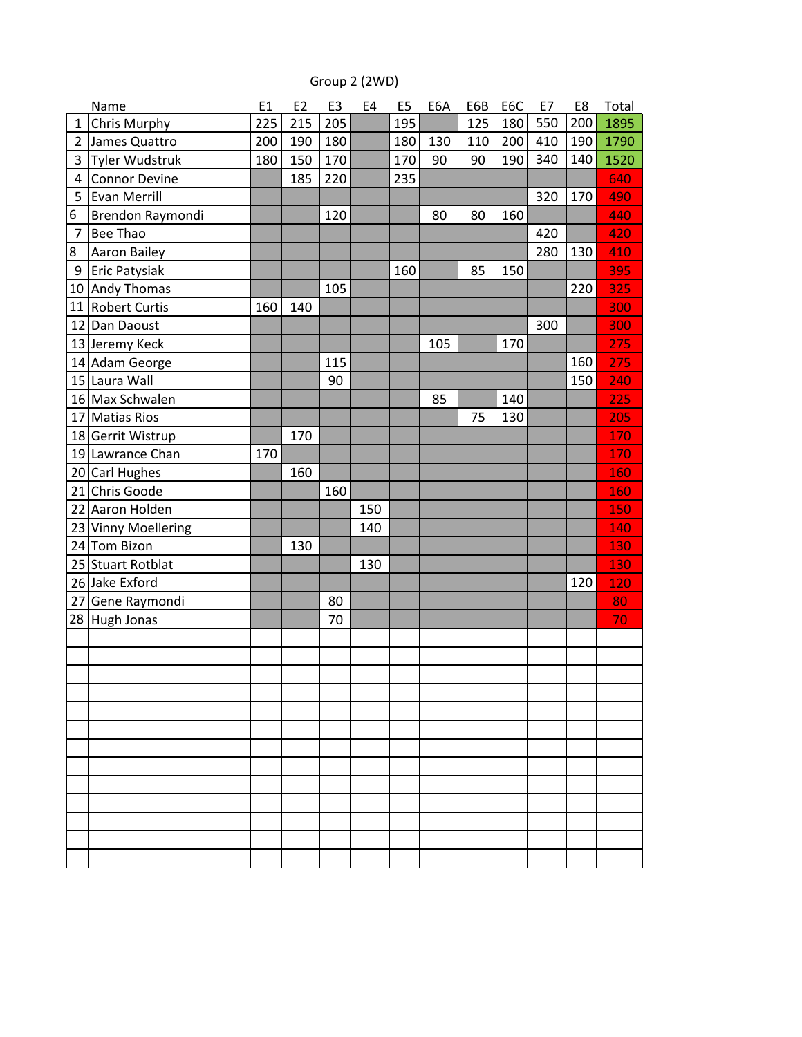## Group 2 (2WD)

| 205<br>195<br>550<br><b>Chris Murphy</b><br>225<br>215<br>180<br>125<br>1<br>$\overline{2}$<br>180<br>James Quattro<br>410 | 200 | 1895 |
|----------------------------------------------------------------------------------------------------------------------------|-----|------|
|                                                                                                                            |     |      |
| 200<br>190<br>180<br>130<br>110<br>200                                                                                     | 190 | 1790 |
| Tyler Wudstruk<br>170<br>340<br>180<br>150<br>170<br>190<br>3<br>90<br>90                                                  | 140 | 1520 |
| <b>Connor Devine</b><br>220<br>185<br>235<br>4                                                                             |     | 640  |
| <b>Evan Merrill</b><br>320<br>5                                                                                            | 170 | 490  |
| 6<br>Brendon Raymondi<br>120<br>80<br>80<br>160                                                                            |     | 440  |
| Bee Thao<br>$\overline{7}$<br>420                                                                                          |     | 420  |
| 8<br><b>Aaron Bailey</b><br>280                                                                                            | 130 | 410  |
| Eric Patysiak<br>160<br>85<br>150<br>9                                                                                     |     | 395  |
| 10 Andy Thomas<br>105                                                                                                      | 220 | 325  |
| 11<br><b>Robert Curtis</b><br>160<br>140                                                                                   |     | 300  |
| 12 Dan Daoust<br>300                                                                                                       |     | 300  |
| 105<br>13 Jeremy Keck<br>170                                                                                               |     | 275  |
| 14 Adam George<br>115                                                                                                      | 160 | 275  |
| 15 Laura Wall<br>90                                                                                                        | 150 | 240  |
| 16 Max Schwalen<br>85<br>140                                                                                               |     | 225  |
| 17 Matias Rios<br>75<br>130                                                                                                |     | 205  |
| 170<br>18 Gerrit Wistrup                                                                                                   |     | 170  |
| 19 Lawrance Chan<br>170                                                                                                    |     | 170  |
| 20 Carl Hughes<br>160                                                                                                      |     | 160  |
| 21 Chris Goode<br>160                                                                                                      |     | 160  |
| 22 Aaron Holden<br>150                                                                                                     |     | 150  |
| 23 Vinny Moellering<br>140                                                                                                 |     | 140  |
| 24 Tom Bizon<br>130                                                                                                        |     | 130  |
| 25 Stuart Rotblat<br>130                                                                                                   |     | 130  |
| 26 Jake Exford                                                                                                             | 120 | 120  |
| 27 Gene Raymondi<br>80                                                                                                     |     | 80   |
| 28<br>Hugh Jonas<br>70                                                                                                     |     | 70   |
|                                                                                                                            |     |      |
|                                                                                                                            |     |      |
|                                                                                                                            |     |      |
|                                                                                                                            |     |      |
|                                                                                                                            |     |      |
|                                                                                                                            |     |      |
|                                                                                                                            |     |      |
|                                                                                                                            |     |      |
|                                                                                                                            |     |      |
|                                                                                                                            |     |      |
|                                                                                                                            |     |      |
|                                                                                                                            |     |      |
|                                                                                                                            |     |      |